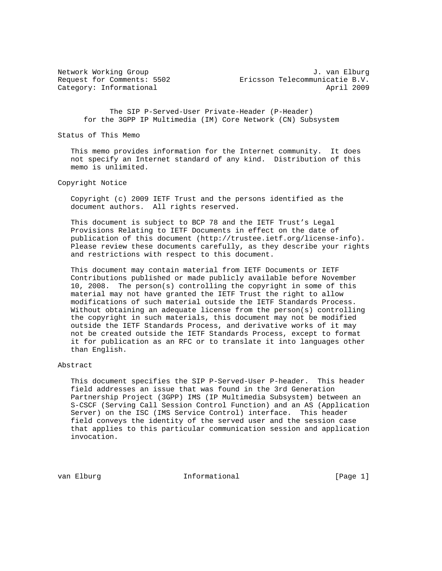| Network Working Group      | J. van Elburg                  |
|----------------------------|--------------------------------|
| Request for Comments: 5502 | Ericsson Telecommunicatie B.V. |
| Category: Informational    | April 2009                     |

 The SIP P-Served-User Private-Header (P-Header) for the 3GPP IP Multimedia (IM) Core Network (CN) Subsystem

Status of This Memo

 This memo provides information for the Internet community. It does not specify an Internet standard of any kind. Distribution of this memo is unlimited.

## Copyright Notice

 Copyright (c) 2009 IETF Trust and the persons identified as the document authors. All rights reserved.

 This document is subject to BCP 78 and the IETF Trust's Legal Provisions Relating to IETF Documents in effect on the date of publication of this document (http://trustee.ietf.org/license-info). Please review these documents carefully, as they describe your rights and restrictions with respect to this document.

 This document may contain material from IETF Documents or IETF Contributions published or made publicly available before November 10, 2008. The person(s) controlling the copyright in some of this material may not have granted the IETF Trust the right to allow modifications of such material outside the IETF Standards Process. Without obtaining an adequate license from the person(s) controlling the copyright in such materials, this document may not be modified outside the IETF Standards Process, and derivative works of it may not be created outside the IETF Standards Process, except to format it for publication as an RFC or to translate it into languages other than English.

### Abstract

 This document specifies the SIP P-Served-User P-header. This header field addresses an issue that was found in the 3rd Generation Partnership Project (3GPP) IMS (IP Multimedia Subsystem) between an S-CSCF (Serving Call Session Control Function) and an AS (Application Server) on the ISC (IMS Service Control) interface. This header field conveys the identity of the served user and the session case that applies to this particular communication session and application invocation.

van Elburg 11 and 11 and 11 and 11 and 11 and 12 and 12 and 12 and 12 and 12 and 12 and 12 and 12 and 12 and 1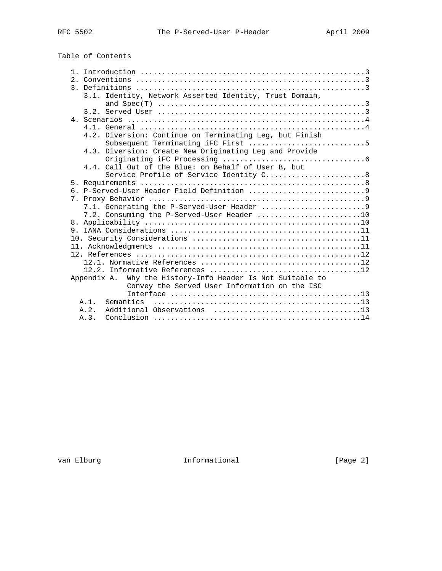# Table of Contents

|  | 3.1. Identity, Network Asserted Identity, Trust Domain,    |  |
|--|------------------------------------------------------------|--|
|  |                                                            |  |
|  |                                                            |  |
|  |                                                            |  |
|  |                                                            |  |
|  | 4.2. Diversion: Continue on Terminating Leg, but Finish    |  |
|  | Subsequent Terminating iFC First 5                         |  |
|  | 4.3. Diversion: Create New Originating Leg and Provide     |  |
|  |                                                            |  |
|  | 4.4. Call Out of the Blue: on Behalf of User B, but        |  |
|  | Service Profile of Service Identity C8                     |  |
|  |                                                            |  |
|  | 6. P-Served-User Header Field Definition 9                 |  |
|  |                                                            |  |
|  | 7.1. Generating the P-Served-User Header 9                 |  |
|  | 7.2. Consuming the P-Served-User Header 10                 |  |
|  |                                                            |  |
|  |                                                            |  |
|  |                                                            |  |
|  |                                                            |  |
|  |                                                            |  |
|  |                                                            |  |
|  |                                                            |  |
|  | Appendix A. Why the History-Info Header Is Not Suitable to |  |
|  | Convey the Served User Information on the ISC              |  |
|  |                                                            |  |
|  | Semantics<br>$A.1$ .                                       |  |
|  | A.2.                                                       |  |
|  | A.3.                                                       |  |

van Elburg 1992 Informational 1999 (Page 2)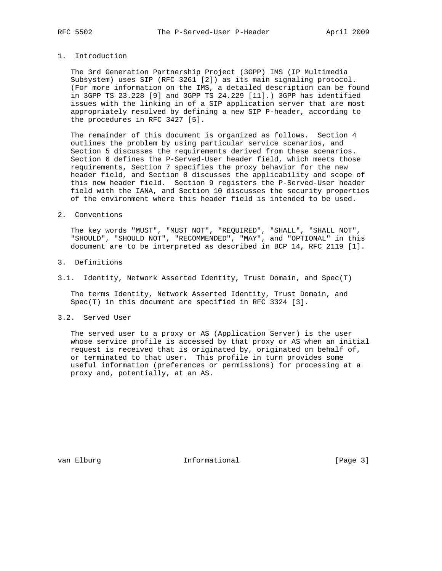# 1. Introduction

 The 3rd Generation Partnership Project (3GPP) IMS (IP Multimedia Subsystem) uses SIP (RFC 3261 [2]) as its main signaling protocol. (For more information on the IMS, a detailed description can be found in 3GPP TS 23.228 [9] and 3GPP TS 24.229 [11].) 3GPP has identified issues with the linking in of a SIP application server that are most appropriately resolved by defining a new SIP P-header, according to the procedures in RFC 3427 [5].

 The remainder of this document is organized as follows. Section 4 outlines the problem by using particular service scenarios, and Section 5 discusses the requirements derived from these scenarios. Section 6 defines the P-Served-User header field, which meets those requirements, Section 7 specifies the proxy behavior for the new header field, and Section 8 discusses the applicability and scope of this new header field. Section 9 registers the P-Served-User header field with the IANA, and Section 10 discusses the security properties of the environment where this header field is intended to be used.

#### 2. Conventions

 The key words "MUST", "MUST NOT", "REQUIRED", "SHALL", "SHALL NOT", "SHOULD", "SHOULD NOT", "RECOMMENDED", "MAY", and "OPTIONAL" in this document are to be interpreted as described in BCP 14, RFC 2119 [1].

# 3. Definitions

3.1. Identity, Network Asserted Identity, Trust Domain, and Spec(T)

 The terms Identity, Network Asserted Identity, Trust Domain, and Spec(T) in this document are specified in RFC 3324 [3].

#### 3.2. Served User

 The served user to a proxy or AS (Application Server) is the user whose service profile is accessed by that proxy or AS when an initial request is received that is originated by, originated on behalf of, or terminated to that user. This profile in turn provides some useful information (preferences or permissions) for processing at a proxy and, potentially, at an AS.

van Elburg 1992 Informational 1999 [Page 3]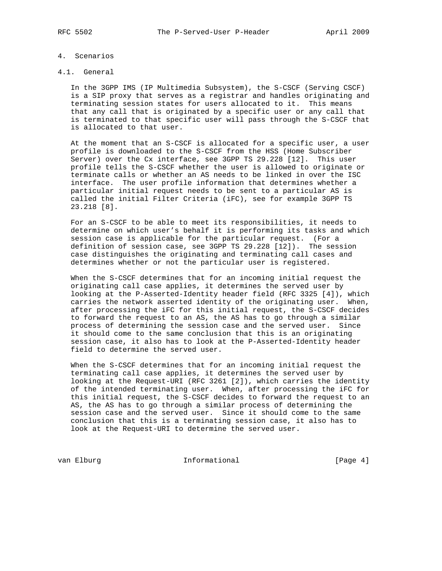# 4. Scenarios

### 4.1. General

 In the 3GPP IMS (IP Multimedia Subsystem), the S-CSCF (Serving CSCF) is a SIP proxy that serves as a registrar and handles originating and terminating session states for users allocated to it. This means that any call that is originated by a specific user or any call that is terminated to that specific user will pass through the S-CSCF that is allocated to that user.

 At the moment that an S-CSCF is allocated for a specific user, a user profile is downloaded to the S-CSCF from the HSS (Home Subscriber Server) over the Cx interface, see 3GPP TS 29.228 [12]. This user profile tells the S-CSCF whether the user is allowed to originate or terminate calls or whether an AS needs to be linked in over the ISC interface. The user profile information that determines whether a particular initial request needs to be sent to a particular AS is called the initial Filter Criteria (iFC), see for example 3GPP TS 23.218 [8].

 For an S-CSCF to be able to meet its responsibilities, it needs to determine on which user's behalf it is performing its tasks and which session case is applicable for the particular request. (For a definition of session case, see 3GPP TS 29.228 [12]). The session case distinguishes the originating and terminating call cases and determines whether or not the particular user is registered.

 When the S-CSCF determines that for an incoming initial request the originating call case applies, it determines the served user by looking at the P-Asserted-Identity header field (RFC 3325 [4]), which carries the network asserted identity of the originating user. When, after processing the iFC for this initial request, the S-CSCF decides to forward the request to an AS, the AS has to go through a similar process of determining the session case and the served user. Since it should come to the same conclusion that this is an originating session case, it also has to look at the P-Asserted-Identity header field to determine the served user.

 When the S-CSCF determines that for an incoming initial request the terminating call case applies, it determines the served user by looking at the Request-URI (RFC 3261 [2]), which carries the identity of the intended terminating user. When, after processing the iFC for this initial request, the S-CSCF decides to forward the request to an AS, the AS has to go through a similar process of determining the session case and the served user. Since it should come to the same conclusion that this is a terminating session case, it also has to look at the Request-URI to determine the served user.

van Elburg 1988 Informational 1989 (Page 4)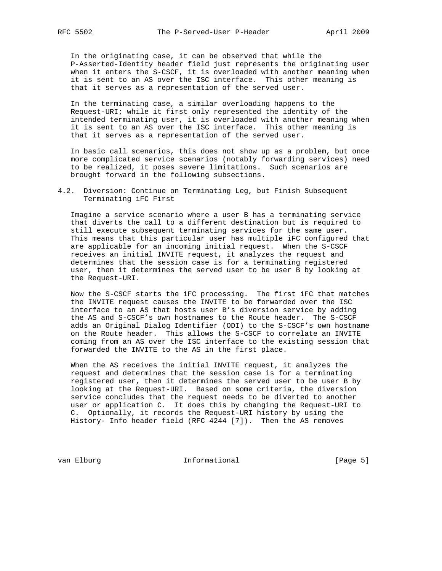In the originating case, it can be observed that while the P-Asserted-Identity header field just represents the originating user when it enters the S-CSCF, it is overloaded with another meaning when it is sent to an AS over the ISC interface. This other meaning is that it serves as a representation of the served user.

 In the terminating case, a similar overloading happens to the Request-URI; while it first only represented the identity of the intended terminating user, it is overloaded with another meaning when it is sent to an AS over the ISC interface. This other meaning is that it serves as a representation of the served user.

 In basic call scenarios, this does not show up as a problem, but once more complicated service scenarios (notably forwarding services) need to be realized, it poses severe limitations. Such scenarios are brought forward in the following subsections.

4.2. Diversion: Continue on Terminating Leg, but Finish Subsequent Terminating iFC First

 Imagine a service scenario where a user B has a terminating service that diverts the call to a different destination but is required to still execute subsequent terminating services for the same user. This means that this particular user has multiple iFC configured that are applicable for an incoming initial request. When the S-CSCF receives an initial INVITE request, it analyzes the request and determines that the session case is for a terminating registered user, then it determines the served user to be user B by looking at the Request-URI.

 Now the S-CSCF starts the iFC processing. The first iFC that matches the INVITE request causes the INVITE to be forwarded over the ISC interface to an AS that hosts user B's diversion service by adding the AS and S-CSCF's own hostnames to the Route header. The S-CSCF adds an Original Dialog Identifier (ODI) to the S-CSCF's own hostname on the Route header. This allows the S-CSCF to correlate an INVITE coming from an AS over the ISC interface to the existing session that forwarded the INVITE to the AS in the first place.

 When the AS receives the initial INVITE request, it analyzes the request and determines that the session case is for a terminating registered user, then it determines the served user to be user B by looking at the Request-URI. Based on some criteria, the diversion service concludes that the request needs to be diverted to another user or application C. It does this by changing the Request-URI to C. Optionally, it records the Request-URI history by using the History- Info header field (RFC 4244 [7]). Then the AS removes

van Elburg 1992 van Elburg 1993 van Elburg 1994 van Elburg 1994 van Informational (Page 5)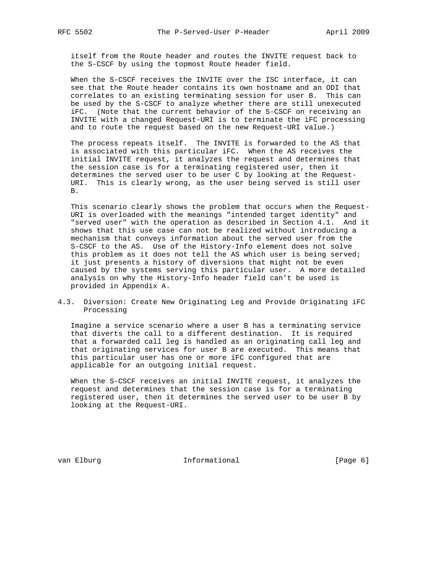itself from the Route header and routes the INVITE request back to the S-CSCF by using the topmost Route header field.

 When the S-CSCF receives the INVITE over the ISC interface, it can see that the Route header contains its own hostname and an ODI that correlates to an existing terminating session for user B. This can be used by the S-CSCF to analyze whether there are still unexecuted iFC. (Note that the current behavior of the S-CSCF on receiving an INVITE with a changed Request-URI is to terminate the iFC processing and to route the request based on the new Request-URI value.)

 The process repeats itself. The INVITE is forwarded to the AS that is associated with this particular iFC. When the AS receives the initial INVITE request, it analyzes the request and determines that the session case is for a terminating registered user, then it determines the served user to be user C by looking at the Request- URI. This is clearly wrong, as the user being served is still user B.

 This scenario clearly shows the problem that occurs when the Request- URI is overloaded with the meanings "intended target identity" and "served user" with the operation as described in Section 4.1. And it shows that this use case can not be realized without introducing a mechanism that conveys information about the served user from the S-CSCF to the AS. Use of the History-Info element does not solve this problem as it does not tell the AS which user is being served; it just presents a history of diversions that might not be even caused by the systems serving this particular user. A more detailed analysis on why the History-Info header field can't be used is provided in Appendix A.

4.3. Diversion: Create New Originating Leg and Provide Originating iFC Processing

 Imagine a service scenario where a user B has a terminating service that diverts the call to a different destination. It is required that a forwarded call leg is handled as an originating call leg and that originating services for user B are executed. This means that this particular user has one or more iFC configured that are applicable for an outgoing initial request.

 When the S-CSCF receives an initial INVITE request, it analyzes the request and determines that the session case is for a terminating registered user, then it determines the served user to be user B by looking at the Request-URI.

van Elburg 1992 van Elburg 1993 van Elburg 1994 van Elburg 1994 van Elburg 1994 van Informational 1994 van Informational 1994 van Informational 1994 van Informational 1994 van Informational 1994 van Informational 1994 van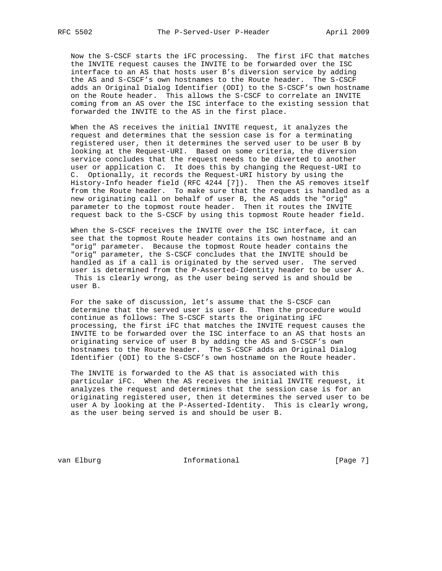Now the S-CSCF starts the iFC processing. The first iFC that matches the INVITE request causes the INVITE to be forwarded over the ISC interface to an AS that hosts user B's diversion service by adding the AS and S-CSCF's own hostnames to the Route header. The S-CSCF adds an Original Dialog Identifier (ODI) to the S-CSCF's own hostname on the Route header. This allows the S-CSCF to correlate an INVITE coming from an AS over the ISC interface to the existing session that forwarded the INVITE to the AS in the first place.

 When the AS receives the initial INVITE request, it analyzes the request and determines that the session case is for a terminating registered user, then it determines the served user to be user B by looking at the Request-URI. Based on some criteria, the diversion service concludes that the request needs to be diverted to another user or application C. It does this by changing the Request-URI to C. Optionally, it records the Request-URI history by using the History-Info header field (RFC 4244 [7]). Then the AS removes itself from the Route header. To make sure that the request is handled as a new originating call on behalf of user B, the AS adds the "orig" parameter to the topmost route header. Then it routes the INVITE request back to the S-CSCF by using this topmost Route header field.

 When the S-CSCF receives the INVITE over the ISC interface, it can see that the topmost Route header contains its own hostname and an "orig" parameter. Because the topmost Route header contains the "orig" parameter, the S-CSCF concludes that the INVITE should be handled as if a call is originated by the served user. The served user is determined from the P-Asserted-Identity header to be user A. This is clearly wrong, as the user being served is and should be user B.

 For the sake of discussion, let's assume that the S-CSCF can determine that the served user is user B. Then the procedure would continue as follows: The S-CSCF starts the originating iFC processing, the first iFC that matches the INVITE request causes the INVITE to be forwarded over the ISC interface to an AS that hosts an originating service of user B by adding the AS and S-CSCF's own hostnames to the Route header. The S-CSCF adds an Original Dialog Identifier (ODI) to the S-CSCF's own hostname on the Route header.

 The INVITE is forwarded to the AS that is associated with this particular iFC. When the AS receives the initial INVITE request, it analyzes the request and determines that the session case is for an originating registered user, then it determines the served user to be user A by looking at the P-Asserted-Identity. This is clearly wrong, as the user being served is and should be user B.

van Elburg 10 Informational 1999 [Page 7]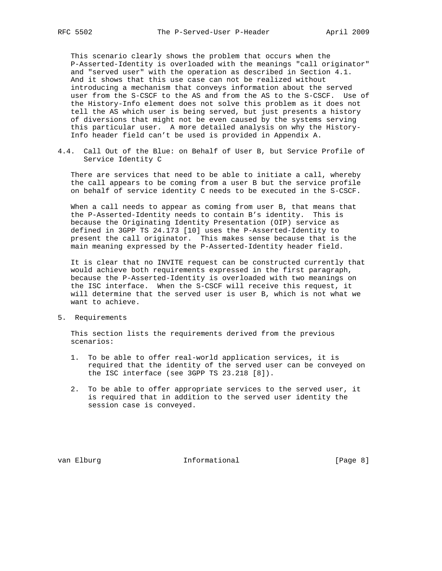This scenario clearly shows the problem that occurs when the P-Asserted-Identity is overloaded with the meanings "call originator" and "served user" with the operation as described in Section 4.1. And it shows that this use case can not be realized without introducing a mechanism that conveys information about the served user from the S-CSCF to the AS and from the AS to the S-CSCF. Use of the History-Info element does not solve this problem as it does not tell the AS which user is being served, but just presents a history of diversions that might not be even caused by the systems serving this particular user. A more detailed analysis on why the History- Info header field can't be used is provided in Appendix A.

4.4. Call Out of the Blue: on Behalf of User B, but Service Profile of Service Identity C

 There are services that need to be able to initiate a call, whereby the call appears to be coming from a user B but the service profile on behalf of service identity C needs to be executed in the S-CSCF.

 When a call needs to appear as coming from user B, that means that the P-Asserted-Identity needs to contain B's identity. This is because the Originating Identity Presentation (OIP) service as defined in 3GPP TS 24.173 [10] uses the P-Asserted-Identity to present the call originator. This makes sense because that is the main meaning expressed by the P-Asserted-Identity header field.

 It is clear that no INVITE request can be constructed currently that would achieve both requirements expressed in the first paragraph, because the P-Asserted-Identity is overloaded with two meanings on the ISC interface. When the S-CSCF will receive this request, it will determine that the served user is user B, which is not what we want to achieve.

5. Requirements

 This section lists the requirements derived from the previous scenarios:

- 1. To be able to offer real-world application services, it is required that the identity of the served user can be conveyed on the ISC interface (see 3GPP TS 23.218 [8]).
- 2. To be able to offer appropriate services to the served user, it is required that in addition to the served user identity the session case is conveyed.

van Elburg 10 Informational 1999 [Page 8]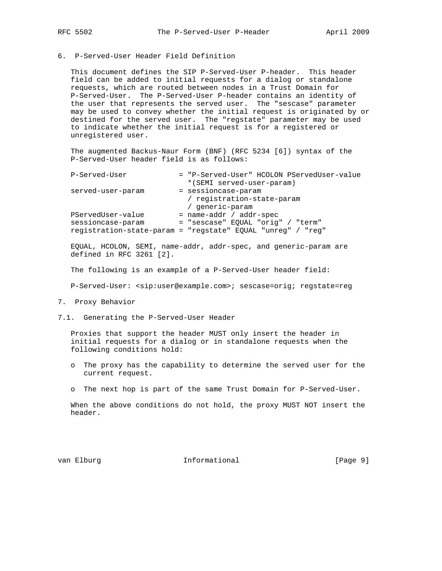6. P-Served-User Header Field Definition

 This document defines the SIP P-Served-User P-header. This header field can be added to initial requests for a dialog or standalone requests, which are routed between nodes in a Trust Domain for P-Served-User. The P-Served-User P-header contains an identity of the user that represents the served user. The "sescase" parameter may be used to convey whether the initial request is originated by or destined for the served user. The "regstate" parameter may be used to indicate whether the initial request is for a registered or unregistered user.

 The augmented Backus-Naur Form (BNF) (RFC 5234 [6]) syntax of the P-Served-User header field is as follows:

| P-Served-User     | = "P-Served-User" HCOLON PServedUser-value                     |
|-------------------|----------------------------------------------------------------|
|                   | *(SEMI served-user-param)                                      |
| served-user-param | = sessioncase-param                                            |
|                   | registration-state-param                                       |
|                   | / generic-param                                                |
| PServedUser-value | $=$ name-addr / addr-spec                                      |
| sessioncase-param | = "sescase" EQUAL "orig" / "term"                              |
|                   | registration-state-param = "regstate" EOUAL "unreg" /<br>"rea" |
|                   |                                                                |

 EQUAL, HCOLON, SEMI, name-addr, addr-spec, and generic-param are defined in RFC 3261 [2].

The following is an example of a P-Served-User header field:

P-Served-User: <sip:user@example.com>; sescase=orig; regstate=reg

- 7. Proxy Behavior
- 7.1. Generating the P-Served-User Header

 Proxies that support the header MUST only insert the header in initial requests for a dialog or in standalone requests when the following conditions hold:

- o The proxy has the capability to determine the served user for the current request.
- o The next hop is part of the same Trust Domain for P-Served-User.

 When the above conditions do not hold, the proxy MUST NOT insert the header.

van Elburg 10 Informational 1999 [Page 9]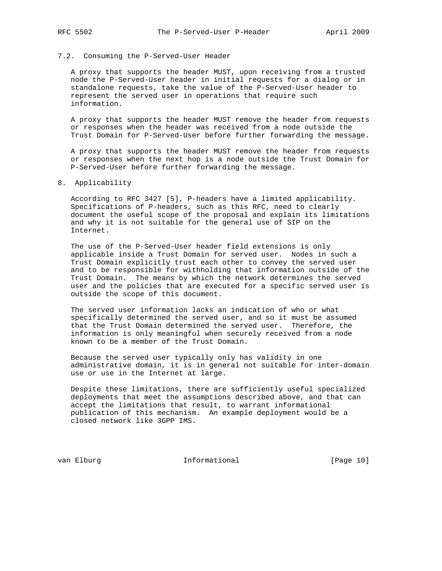#### 7.2. Consuming the P-Served-User Header

 A proxy that supports the header MUST, upon receiving from a trusted node the P-Served-User header in initial requests for a dialog or in standalone requests, take the value of the P-Served-User header to represent the served user in operations that require such information.

 A proxy that supports the header MUST remove the header from requests or responses when the header was received from a node outside the Trust Domain for P-Served-User before further forwarding the message.

 A proxy that supports the header MUST remove the header from requests or responses when the next hop is a node outside the Trust Domain for P-Served-User before further forwarding the message.

8. Applicability

 According to RFC 3427 [5], P-headers have a limited applicability. Specifications of P-headers, such as this RFC, need to clearly document the useful scope of the proposal and explain its limitations and why it is not suitable for the general use of SIP on the Internet.

 The use of the P-Served-User header field extensions is only applicable inside a Trust Domain for served user. Nodes in such a Trust Domain explicitly trust each other to convey the served user and to be responsible for withholding that information outside of the Trust Domain. The means by which the network determines the served user and the policies that are executed for a specific served user is outside the scope of this document.

 The served user information lacks an indication of who or what specifically determined the served user, and so it must be assumed that the Trust Domain determined the served user. Therefore, the information is only meaningful when securely received from a node known to be a member of the Trust Domain.

 Because the served user typically only has validity in one administrative domain, it is in general not suitable for inter-domain use or use in the Internet at large.

 Despite these limitations, there are sufficiently useful specialized deployments that meet the assumptions described above, and that can accept the limitations that result, to warrant informational publication of this mechanism. An example deployment would be a closed network like 3GPP IMS.

van Elburg 10 Informational 1999 [Page 10]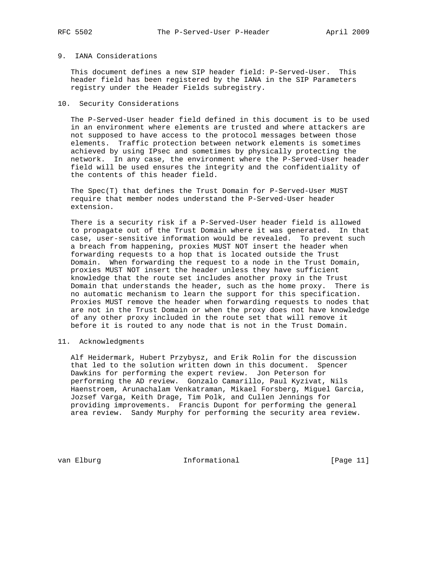# 9. IANA Considerations

 This document defines a new SIP header field: P-Served-User. This header field has been registered by the IANA in the SIP Parameters registry under the Header Fields subregistry.

### 10. Security Considerations

 The P-Served-User header field defined in this document is to be used in an environment where elements are trusted and where attackers are not supposed to have access to the protocol messages between those elements. Traffic protection between network elements is sometimes achieved by using IPsec and sometimes by physically protecting the network. In any case, the environment where the P-Served-User header field will be used ensures the integrity and the confidentiality of the contents of this header field.

 The Spec(T) that defines the Trust Domain for P-Served-User MUST require that member nodes understand the P-Served-User header extension.

 There is a security risk if a P-Served-User header field is allowed to propagate out of the Trust Domain where it was generated. In that case, user-sensitive information would be revealed. To prevent such a breach from happening, proxies MUST NOT insert the header when forwarding requests to a hop that is located outside the Trust Domain. When forwarding the request to a node in the Trust Domain, proxies MUST NOT insert the header unless they have sufficient knowledge that the route set includes another proxy in the Trust Domain that understands the header, such as the home proxy. There is no automatic mechanism to learn the support for this specification. Proxies MUST remove the header when forwarding requests to nodes that are not in the Trust Domain or when the proxy does not have knowledge of any other proxy included in the route set that will remove it before it is routed to any node that is not in the Trust Domain.

#### 11. Acknowledgments

 Alf Heidermark, Hubert Przybysz, and Erik Rolin for the discussion that led to the solution written down in this document. Spencer Dawkins for performing the expert review. Jon Peterson for performing the AD review. Gonzalo Camarillo, Paul Kyzivat, Nils Haenstroem, Arunachalam Venkatraman, Mikael Forsberg, Miguel Garcia, Jozsef Varga, Keith Drage, Tim Polk, and Cullen Jennings for providing improvements. Francis Dupont for performing the general area review. Sandy Murphy for performing the security area review.

van Elburg 11 Informational 1986 (Page 11)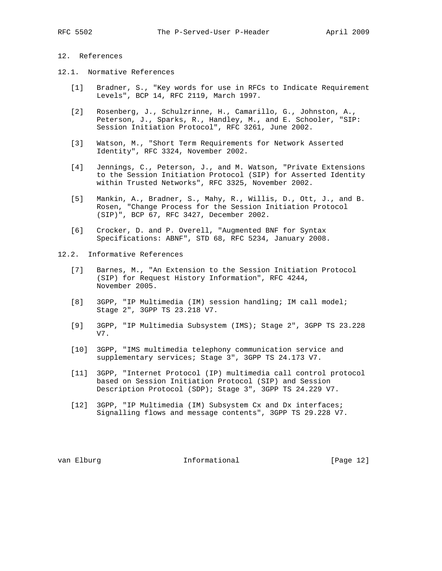# 12. References

- 12.1. Normative References
	- [1] Bradner, S., "Key words for use in RFCs to Indicate Requirement Levels", BCP 14, RFC 2119, March 1997.
	- [2] Rosenberg, J., Schulzrinne, H., Camarillo, G., Johnston, A., Peterson, J., Sparks, R., Handley, M., and E. Schooler, "SIP: Session Initiation Protocol", RFC 3261, June 2002.
	- [3] Watson, M., "Short Term Requirements for Network Asserted Identity", RFC 3324, November 2002.
	- [4] Jennings, C., Peterson, J., and M. Watson, "Private Extensions to the Session Initiation Protocol (SIP) for Asserted Identity within Trusted Networks", RFC 3325, November 2002.
	- [5] Mankin, A., Bradner, S., Mahy, R., Willis, D., Ott, J., and B. Rosen, "Change Process for the Session Initiation Protocol (SIP)", BCP 67, RFC 3427, December 2002.
	- [6] Crocker, D. and P. Overell, "Augmented BNF for Syntax Specifications: ABNF", STD 68, RFC 5234, January 2008.
- 12.2. Informative References
	- [7] Barnes, M., "An Extension to the Session Initiation Protocol (SIP) for Request History Information", RFC 4244, November 2005.
	- [8] 3GPP, "IP Multimedia (IM) session handling; IM call model; Stage 2", 3GPP TS 23.218 V7.
	- [9] 3GPP, "IP Multimedia Subsystem (IMS); Stage 2", 3GPP TS 23.228 V7.
	- [10] 3GPP, "IMS multimedia telephony communication service and supplementary services; Stage 3", 3GPP TS 24.173 V7.
	- [11] 3GPP, "Internet Protocol (IP) multimedia call control protocol based on Session Initiation Protocol (SIP) and Session Description Protocol (SDP); Stage 3", 3GPP TS 24.229 V7.
	- [12] 3GPP, "IP Multimedia (IM) Subsystem Cx and Dx interfaces; Signalling flows and message contents", 3GPP TS 29.228 V7.

van Elburg 12]<br>Informational 1999 [Page 12]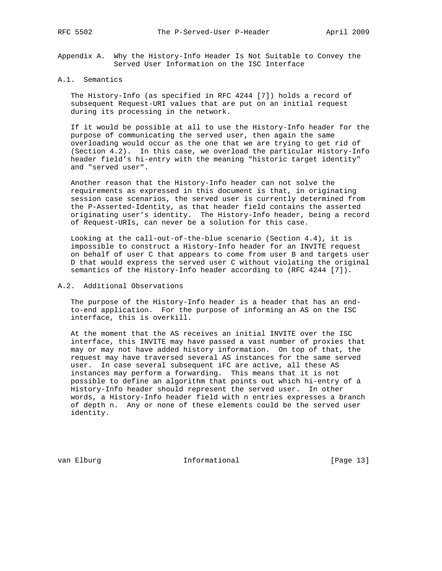Appendix A. Why the History-Info Header Is Not Suitable to Convey the Served User Information on the ISC Interface

### A.1. Semantics

 The History-Info (as specified in RFC 4244 [7]) holds a record of subsequent Request-URI values that are put on an initial request during its processing in the network.

 If it would be possible at all to use the History-Info header for the purpose of communicating the served user, then again the same overloading would occur as the one that we are trying to get rid of (Section 4.2). In this case, we overload the particular History-Info header field's hi-entry with the meaning "historic target identity" and "served user".

 Another reason that the History-Info header can not solve the requirements as expressed in this document is that, in originating session case scenarios, the served user is currently determined from the P-Asserted-Identity, as that header field contains the asserted originating user's identity. The History-Info header, being a record of Request-URIs, can never be a solution for this case.

 Looking at the call-out-of-the-blue scenario (Section 4.4), it is impossible to construct a History-Info header for an INVITE request on behalf of user C that appears to come from user B and targets user D that would express the served user C without violating the original semantics of the History-Info header according to (RFC 4244 [7]).

### A.2. Additional Observations

 The purpose of the History-Info header is a header that has an end to-end application. For the purpose of informing an AS on the ISC interface, this is overkill.

 At the moment that the AS receives an initial INVITE over the ISC interface, this INVITE may have passed a vast number of proxies that may or may not have added history information. On top of that, the request may have traversed several AS instances for the same served user. In case several subsequent iFC are active, all these AS instances may perform a forwarding. This means that it is not possible to define an algorithm that points out which hi-entry of a History-Info header should represent the served user. In other words, a History-Info header field with n entries expresses a branch of depth n. Any or none of these elements could be the served user identity.

van Elburg 13 Informational 1999 [Page 13]